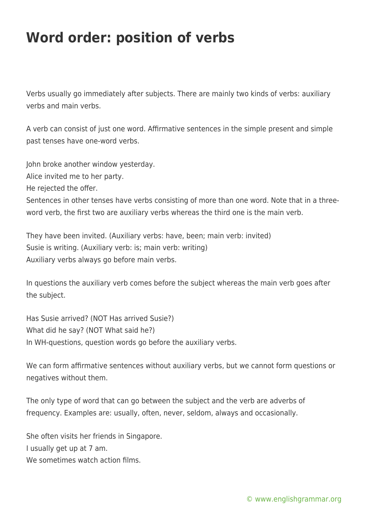## **Word order: position of verbs**

Verbs usually go immediately after subjects. There are mainly two kinds of verbs: auxiliary verbs and main verbs.

A verb can consist of just one word. Affirmative sentences in the simple present and simple past tenses have one-word verbs.

John broke another window yesterday.

Alice invited me to her party.

He rejected the offer.

Sentences in other tenses have verbs consisting of more than one word. Note that in a threeword verb, the first two are auxiliary verbs whereas the third one is the main verb.

They have been invited. (Auxiliary verbs: have, been; main verb: invited) Susie is writing. (Auxiliary verb: is; main verb: writing) Auxiliary verbs always go before main verbs.

In questions the auxiliary verb comes before the subject whereas the main verb goes after the subject.

Has Susie arrived? (NOT Has arrived Susie?) What did he say? (NOT What said he?) In WH-questions, question words go before the auxiliary verbs.

We can form affirmative sentences without auxiliary verbs, but we cannot form questions or negatives without them.

The only type of word that can go between the subject and the verb are adverbs of frequency. Examples are: usually, often, never, seldom, always and occasionally.

She often visits her friends in Singapore. I usually get up at 7 am. We sometimes watch action films.